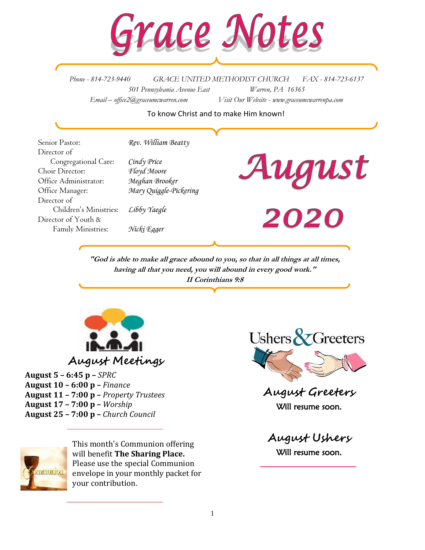

*Phone - 814-723-9440 GRACE UNITED METHODIST CHURCH FAX - 814-723-6137 501 Pennsylvania Avenue East Warren, PA 16365 Email – office2@graceumcwarren.com Visit Our Website - www.graceumcwarrenpa.com* 

#### To know Christ and to make Him known!

Senior Pastor: *Rev. William Beatty* Director of Congregational Care: *Cindy Price* Choir Director: *Floyd Moore* Office Administrator: *Meghan Brooker* Office Manager: *Mary Quiggle-Pickering* Director of Children's Ministries: *Libby Yaegle* Director of Youth & Family Ministries: *Nicki Egger*



020

 **"God is able to make all grace abound to you, so that in all things at all times, having all that you need, you will abound in every good work." II Corinthians 9:8**



**August 5 – 6:45 p –** *SPRC* **August 10 – 6:00 p –** *Finance* **August 11 – 7:00 p –** *Property Trustees* **August 17 – 7:00 p –** *Worship* **August 25 – 7:00 p –** *Church Council*



**August Greeters** Will resume soon.

nmunion

This month's Communion offering will benefit **The Sharing Place.** Please use the special Communion envelope in your monthly packet for your contribution.

**August Ushers** Will resume soon.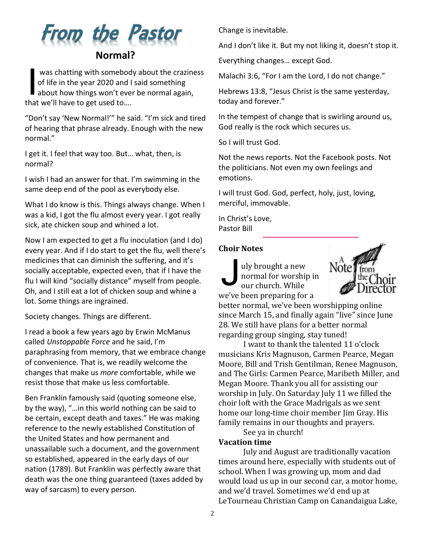

was chatting with somebody about the craziness of life in the year 2020 and I said something was chatting with somebody about the crazine<br>of life in the year 2020 and I said something<br>about how things won't ever be normal again, that we'll have to get used to….

"Don't say 'New Normal!'" he said. "I'm sick and tired of hearing that phrase already. Enough with the new normal."

I get it. I feel that way too. But… what, then, is normal?

I wish I had an answer for that. I'm swimming in the same deep end of the pool as everybody else.

What I do know is this. Things always change. When I was a kid, I got the flu almost every year. I got really sick, ate chicken soup and whined a lot.

Now I am expected to get a flu inoculation (and I do) every year. And if I do start to get the flu, well there's medicines that can diminish the suffering, and it's socially acceptable, expected even, that if I have the flu I will kind "socially distance" myself from people. Oh, and I still eat a lot of chicken soup and whine a lot. Some things are ingrained.

Society changes. Things are different.

I read a book a few years ago by Erwin McManus called *Unstoppable Force* and he said, I'm paraphrasing from memory, that we embrace change of convenience. That is, we readily welcome the changes that make us *more* comfortable, while we resist those that make us less comfortable.

Ben Franklin famously said (quoting someone else, by the way), "…in this world nothing can be said to be certain, except death and taxes." He was making reference to the newly established Constitution of the United States and how permanent and unassailable such a document, and the government so established, appeared in the early days of our nation (1789). But Franklin was perfectly aware that death was the one thing guaranteed (taxes added by way of sarcasm) to every person.

Change is inevitable.

And I don't like it. But my not liking it, doesn't stop it.

Everything changes… except God.

Malachi 3:6, "For I am the Lord, I do not change."

Hebrews 13:8, "Jesus Christ is the same yesterday, today and forever."

In the tempest of change that is swirling around us, God really is the rock which secures us.

So I will trust God.

Not the news reports. Not the Facebook posts. Not the politicians. Not even my own feelings and emotions.

I will trust God. God, perfect, holy, just, loving, merciful, immovable.

In Christ's Love, Pastor Bill

#### **Choir Notes**

uly brought a new normal for worship in our church. While we've been preparing for a J



better normal, we've been worshipping online since March 15, and finally again "live" since June 28. We still have plans for a better normal regarding group singing, stay tuned!

I want to thank the talented 11 o'clock musicians Kris Magnuson, Carmen Pearce, Megan Moore, Bill and Trish Gentilman, Renee Magnuson, and The Girls: Carmen Pearce, Maribeth Miller, and Megan Moore. Thank you all for assisting our worship in July. On Saturday July 11 we filled the choir loft with the Grace Madrigals as we sent home our long-time choir member Jim Gray. His family remains in our thoughts and prayers.

See ya in church!

#### **Vacation time**

July and August are traditionally vacation times around here, especially with students out of school. When I was growing up, mom and dad would load us up in our second car, a motor home, and we'd travel. Sometimes we'd end up at LeTourneau Christian Camp on Canandaigua Lake,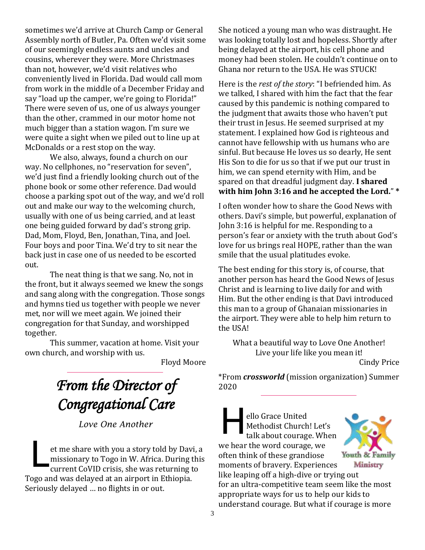sometimes we'd arrive at Church Camp or General Assembly north of Butler, Pa. Often we'd visit some of our seemingly endless aunts and uncles and cousins, wherever they were. More Christmases than not, however, we'd visit relatives who conveniently lived in Florida. Dad would call mom from work in the middle of a December Friday and say "load up the camper, we're going to Florida!" There were seven of us, one of us always younger than the other, crammed in our motor home not much bigger than a station wagon. I'm sure we were quite a sight when we piled out to line up at McDonalds or a rest stop on the way.

We also, always, found a church on our way. No cellphones, no "reservation for seven", we'd just find a friendly looking church out of the phone book or some other reference. Dad would choose a parking spot out of the way, and we'd roll out and make our way to the welcoming church, usually with one of us being carried, and at least one being guided forward by dad's strong grip. Dad, Mom, Floyd, Ben, Jonathan, Tina, and Joel. Four boys and poor Tina. We'd try to sit near the back just in case one of us needed to be escorted out.

The neat thing is that we sang. No, not in the front, but it always seemed we knew the songs and sang along with the congregation. Those songs and hymns tied us together with people we never met, nor will we meet again. We joined their congregation for that Sunday, and worshipped together.

This summer, vacation at home. Visit your own church, and worship with us.

Floyd Moore

# *From the Director of Congregational Care*

*Love One Another*

et me share with you a story told by Davi, a missionary to Togo in W. Africa. During this current CoVID crisis, she was returning to Togo and was delayed at an airport in Ethiopia. Seriously delayed … no flights in or out. L

She noticed a young man who was distraught. He was looking totally lost and hopeless. Shortly after being delayed at the airport, his cell phone and money had been stolen. He couldn't continue on to Ghana nor return to the USA. He was STUCK!

Here is the *rest of the story*: "I befriended him. As we talked, I shared with him the fact that the fear caused by this pandemic is nothing compared to the judgment that awaits those who haven't put their trust in Jesus. He seemed surprised at my statement. I explained how God is righteous and cannot have fellowship with us humans who are sinful. But because He loves us so dearly, He sent His Son to die for us so that if we put our trust in him, we can spend eternity with Him, and be spared on that dreadful judgment day. **I shared with him John 3:16 and he accepted the Lord.**" **\*** 

I often wonder how to share the Good News with others. Davi's simple, but powerful, explanation of John 3:16 is helpful for me. Responding to a person's fear or anxiety with the truth about God's love for us brings real HOPE, rather than the wan smile that the usual platitudes evoke.

The best ending for this story is, of course, that another person has heard the Good News of Jesus Christ and is learning to live daily for and with Him. But the other ending is that Davi introduced this man to a group of Ghanaian missionaries in the airport. They were able to help him return to the USA!

What a beautiful way to Love One Another! Live your life like you mean it!

Cindy Price

\*From *crossworld* (mission organization) Summer 2020

H ello Grace United Methodist Church! Let's talk about courage. When we hear the word courage, we often think of these grandiose Youth & Family moments of bravery. Experiences Ministry like leaping off a high-dive or trying out for an ultra-competitive team seem like the most appropriate ways for us to help our kids to understand courage. But what if courage is more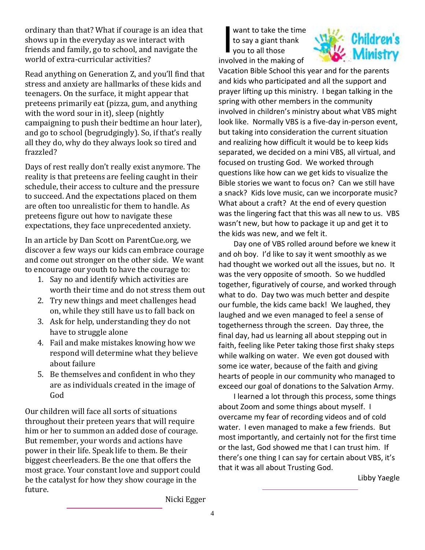ordinary than that? What if courage is an idea that shows up in the everyday as we interact with friends and family, go to school, and navigate the world of extra-curricular activities?

Read anything on Generation Z, and you'll find that stress and anxiety are hallmarks of these kids and teenagers. On the surface, it might appear that preteens primarily eat (pizza, gum, and anything with the word sour in it), sleep (nightly campaigning to push their bedtime an hour later), and go to school (begrudgingly). So, if that's really all they do, why do they always look so tired and frazzled?

Days of rest really don't really exist anymore. The reality is that preteens are feeling caught in their schedule, their access to culture and the pressure to succeed. And the expectations placed on them are often too unrealistic for them to handle. As preteens figure out how to navigate these expectations, they face unprecedented anxiety.

In an article by Dan Scott on ParentCue.org, we discover a few ways our kids can embrace courage and come out stronger on the other side. We want to encourage our youth to have the courage to:

- 1. Say no and identify which activities are worth their time and do not stress them out
- 2. Try new things and meet challenges head on, while they still have us to fall back on
- 3. Ask for help, understanding they do not have to struggle alone
- 4. Fail and make mistakes knowing how we respond will determine what they believe about failure
- 5. Be themselves and confident in who they are as individuals created in the image of God

Our children will face all sorts of situations throughout their preteen years that will require him or her to summon an added dose of courage. But remember, your words and actions have power in their life. Speak life to them. Be their biggest cheerleaders. Be the one that offers the most grace. Your constant love and support could be the catalyst for how they show courage in the future.

want to take the time to say a giant thank you to all those involved in the making of I



Vacation Bible School this year and for the parents and kids who participated and all the support and prayer lifting up this ministry. I began talking in the spring with other members in the community involved in children's ministry about what VBS might look like. Normally VBS is a five-day in-person event, but taking into consideration the current situation and realizing how difficult it would be to keep kids separated, we decided on a mini VBS, all virtual, and focused on trusting God. We worked through questions like how can we get kids to visualize the Bible stories we want to focus on? Can we still have a snack? Kids love music, can we incorporate music? What about a craft? At the end of every question was the lingering fact that this was all new to us. VBS wasn't new, but how to package it up and get it to the kids was new, and we felt it.

Day one of VBS rolled around before we knew it and oh boy. I'd like to say it went smoothly as we had thought we worked out all the issues, but no. It was the very opposite of smooth. So we huddled together, figuratively of course, and worked through what to do. Day two was much better and despite our fumble, the kids came back! We laughed, they laughed and we even managed to feel a sense of togetherness through the screen. Day three, the final day, had us learning all about stepping out in faith, feeling like Peter taking those first shaky steps while walking on water. We even got doused with some ice water, because of the faith and giving hearts of people in our community who managed to exceed our goal of donations to the Salvation Army.

I learned a lot through this process, some things about Zoom and some things about myself. I overcame my fear of recording videos and of cold water. I even managed to make a few friends. But most importantly, and certainly not for the first time or the last, God showed me that I can trust him. If there's one thing I can say for certain about VBS, it's that it was all about Trusting God.

Libby Yaegle

Nicki Egger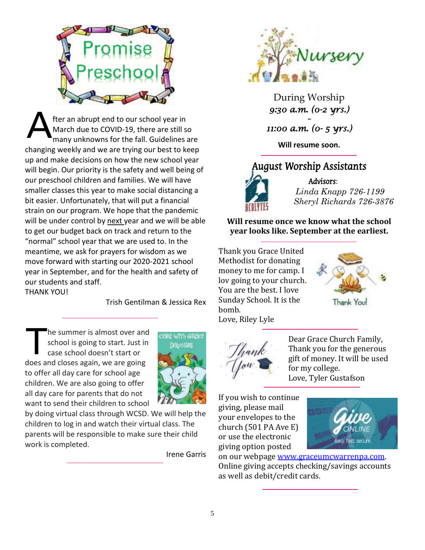

fter an abrupt end to our school year in March due to COVID-19, there are still so many unknowns for the fall. Guidelines are changing weekly and we are trying our best to keep up and make decisions on how the new school year will begin. Our priority is the safety and well being of our preschool children and families. We will have smaller classes this year to make social distancing a bit easier. Unfortunately, that will put a financial strain on our program. We hope that the pandemic will be under control by next year and we will be able to get our budget back on track and return to the "normal" school year that we are used to. In the meantime, we ask for prayers for wisdom as we move forward with starting our 2020-2021 school year in September, and for the health and safety of our students and staff. THANK YOU! A

Trish Gentilman & Jessica Rex

he summer is almost over and school is going to start. Just in case school doesn't start or does and closes again, we are going to offer all day care for school age children. We are also going to offer all day care for parents that do not want to send their children to school T



by doing virtual class through WCSD. We will help the children to log in and watch their virtual class. The parents will be responsible to make sure their child work is completed.

Irene Garris



During Worship *9:30 a.m. (0-2 yrs.)* 

*~ 11:00 a.m. (0- 5 yrs.)* 

**Will resume soon.**

## August Worship Assistants



Advisors: *Linda Knapp 726-1199 Sheryl Richards 726-3876*

**Will resume once we know what the school year looks like. September at the earliest.**

Thank you Grace United Methodist for donating money to me for camp. I lov going to your church. You are the best. I love Sunday School. It is the bomb. Love, Riley Lyle







Dear Grace Church Family, Thank you for the generous gift of money. It will be used for my college. Love, Tyler Gustafson

If you wish to continue giving, please mail your envelopes to the church (501 PA Ave E) or use the electronic giving option posted



on our webpage [www.graceumcwarrenpa.com.](http://www.graceumcwarrenpa.com/) Online giving accepts checking/savings accounts as well as debit/credit cards.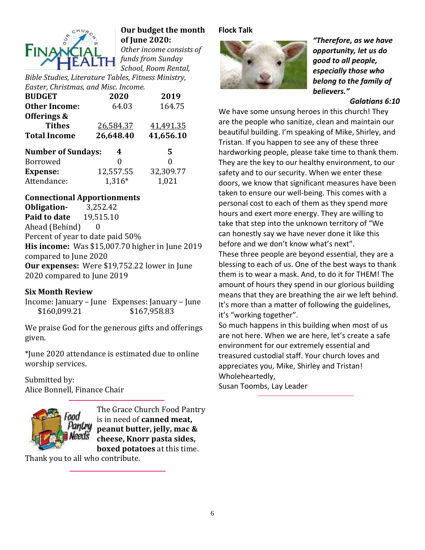

## **Our budget the month of June 2020:**

*Other income consists of funds from Sunday School, Room Rental,* 

*Bible Studies, Literature Tables, Fitness Ministry, Easter, Christmas, and Misc. Income.*

| <b>BUDGET</b>             | 2020      | 2019      |
|---------------------------|-----------|-----------|
| <b>Other Income:</b>      | 64.03     | 164.75    |
| Offerings &               |           |           |
| <b>Tithes</b>             | 26,584.37 | 41,491.35 |
| <b>Total Income</b>       | 26,648.40 | 41,656.10 |
|                           |           |           |
| <b>Number of Sundays:</b> | 4         | 5         |
| <b>Borrowed</b>           | 0         | 0         |
| <b>Expense:</b>           | 12,557.55 | 32,309.77 |

#### **Connectional Apportionments**

**Obligation-** 3,252.42 **Paid to date** 19,515.10 Ahead (Behind) 0 Percent of year to date paid 50% **His income:** Was \$15,007.70 higher in June 2019 compared to June 2020 **Our expenses:** Were \$19,752.22 lower in June 2020 compared to June 2019

#### **Six Month Review**

Income: January – June Expenses: January – June \$160,099.21 \$167,958.83

We praise God for the generous gifts and offerings given.

\*June 2020 attendance is estimated due to online worship services.

Submitted by: Alice Bonnell, Finance Chair



The Grace Church Food Pantry is in need of **canned meat, peanut butter, jelly, mac & cheese, Knorr pasta sides, boxed potatoes** at this time.

Thank you to all who contribute.

#### **Flock Talk**



*"Therefore, as we have opportunity, let us do good to all people, especially those who belong to the family of believers."*

#### *Galatians 6:10*

We have some unsung heroes in this church! They are the people who sanitize, clean and maintain our beautiful building. I'm speaking of Mike, Shirley, and Tristan. If you happen to see any of these three hardworking people, please take time to thank them. They are the key to our healthy environment, to our safety and to our security. When we enter these doors, we know that significant measures have been taken to ensure our well-being. This comes with a personal cost to each of them as they spend more hours and exert more energy. They are willing to take that step into the unknown territory of "We can honestly say we have never done it like this before and we don't know what's next".

These three people are beyond essential, they are a blessing to each of us. One of the best ways to thank them is to wear a mask. And, to do it for THEM! The amount of hours they spend in our glorious building means that they are breathing the air we left behind. It's more than a matter of following the guidelines, it's "working together".

So much happens in this building when most of us are not here. When we are here, let's create a safe environment for our extremely essential and treasured custodial staff. Your church loves and appreciates you, Mike, Shirley and Tristan! Wholeheartedly,

Susan Toombs, Lay Leader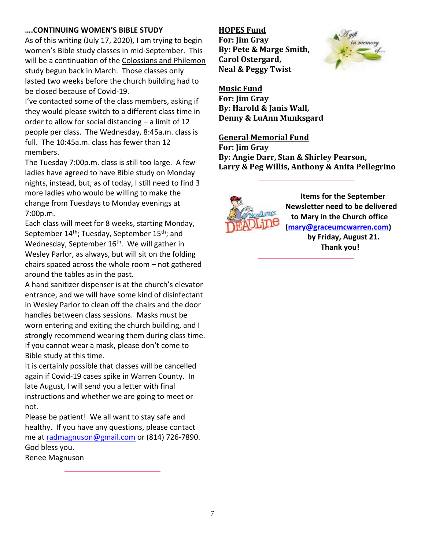#### **….CONTINUING WOMEN'S BIBLE STUDY**

As of this writing (July 17, 2020), I am trying to begin women's Bible study classes in mid-September. This will be a continuation of the Colossians and Philemon study begun back in March. Those classes only lasted two weeks before the church building had to be closed because of Covid-19.

I've contacted some of the class members, asking if they would please switch to a different class time in order to allow for social distancing – a limit of 12 people per class. The Wednesday, 8:45a.m. class is full. The 10:45a.m. class has fewer than 12 members.

The Tuesday 7:00p.m. class is still too large. A few ladies have agreed to have Bible study on Monday nights, instead, but, as of today, I still need to find 3 more ladies who would be willing to make the change from Tuesdays to Monday evenings at 7:00p.m.

Each class will meet for 8 weeks, starting Monday, September 14<sup>th</sup>; Tuesday, September 15<sup>th</sup>; and Wednesday, September 16<sup>th</sup>. We will gather in Wesley Parlor, as always, but will sit on the folding chairs spaced across the whole room – not gathered around the tables as in the past.

A hand sanitizer dispenser is at the church's elevator entrance, and we will have some kind of disinfectant in Wesley Parlor to clean off the chairs and the door handles between class sessions. Masks must be worn entering and exiting the church building, and I strongly recommend wearing them during class time. If you cannot wear a mask, please don't come to Bible study at this time.

It is certainly possible that classes will be cancelled again if Covid-19 cases spike in Warren County. In late August, I will send you a letter with final instructions and whether we are going to meet or not.

Please be patient! We all want to stay safe and healthy. If you have any questions, please contact me a[t radmagnuson@gmail.com](mailto:radmagnuson@gmail.com) or (814) 726-7890. God bless you.

Renee Magnuson

#### **HOPES Fund**

**For: Jim Gray By: Pete & Marge Smith, Carol Ostergard, Neal & Peggy Twist**



**Music Fund For: Jim Gray By: Harold & Janis Wall, Denny & LuAnn Munksgard**

#### **General Memorial Fund**

**For: Jim Gray By: Angie Darr, Stan & Shirley Pearson, Larry & Peg Willis, Anthony & Anita Pellegrino**



 **Items for the September Newsletter need to be delivered to Mary in the Church office [\(mary@graceumcwarren.com\)](mailto:mary@graceumcwarren.com)**

**by Friday, August 21. Thank you!**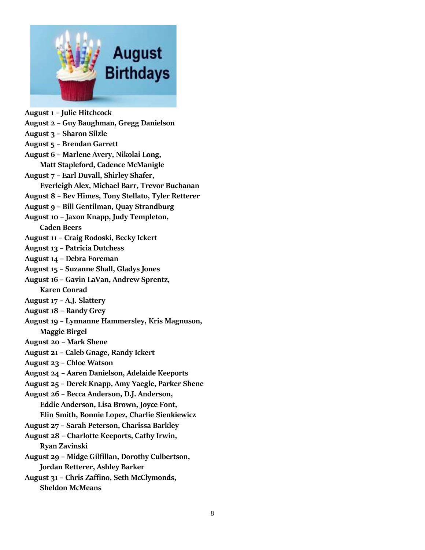

**August 1 – Julie Hitchcock August 2 – Guy Baughman, Gregg Danielson August 3 – Sharon Silzle August 5 – Brendan Garrett August 6 – Marlene Avery, Nikolai Long, Matt Stapleford, Cadence McManigle August 7 – Earl Duvall, Shirley Shafer, Everleigh Alex, Michael Barr, Trevor Buchanan August 8 – Bev Himes, Tony Stellato, Tyler Retterer August 9 – Bill Gentilman, Quay Strandburg August 10 – Jaxon Knapp, Judy Templeton, Caden Beers August 11 – Craig Rodoski, Becky Ickert August 13 – Patricia Dutchess August 14 – Debra Foreman August 15 – Suzanne Shall, Gladys Jones August 16 – Gavin LaVan, Andrew Sprentz, Karen Conrad August 17 – A.J. Slattery August 18 – Randy Grey August 19 – Lynnanne Hammersley, Kris Magnuson, Maggie Birgel August 20 – Mark Shene August 21 – Caleb Gnage, Randy Ickert August 23 – Chloe Watson August 24 – Aaren Danielson, Adelaide Keeports August 25 – Derek Knapp, Amy Yaegle, Parker Shene August 26 – Becca Anderson, D.J. Anderson, Eddie Anderson, Lisa Brown, Joyce Font, Elin Smith, Bonnie Lopez, Charlie Sienkiewicz August 27 – Sarah Peterson, Charissa Barkley August 28 – Charlotte Keeports, Cathy Irwin, Ryan Zavinski August 29 – Midge Gilfillan, Dorothy Culbertson, Jordan Retterer, Ashley Barker August 31 – Chris Zaffino, Seth McClymonds, Sheldon McMeans**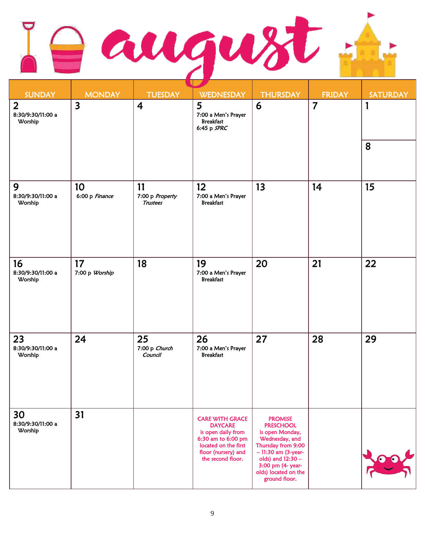| <b>SUNDAY</b>                                  | <b>MONDAY</b>           | <b>TUESDAY</b>                           | <u>a shekara ta 1999 a shekara ta 1999 a shekara ta 1999 a shekara ta 1999 a shekara ta 1999 a shekara ta 1999 a </u><br><b>WEDNESDAY</b>                | <b>THURSDAY</b>                                                                                                                                                                                          | <b>FRIDAY</b>  | <b>SATURDAY</b> |
|------------------------------------------------|-------------------------|------------------------------------------|----------------------------------------------------------------------------------------------------------------------------------------------------------|----------------------------------------------------------------------------------------------------------------------------------------------------------------------------------------------------------|----------------|-----------------|
| $\overline{2}$<br>8:30/9:30/11:00 a<br>Worship | $\overline{\mathbf{3}}$ | $\overline{4}$                           | 5<br>7:00 a Men's Prayer<br><b>Breakfast</b><br>6:45 p SPRC                                                                                              | 6                                                                                                                                                                                                        | $\overline{7}$ | 1<br>8          |
| 9<br>8:30/9:30/11:00 a<br>Worship              | 10<br>6:00 p Finance    | 11<br>7:00 p Property<br><b>Trustees</b> | 12 <sup>2</sup><br>7:00 a Men's Prayer<br><b>Breakfast</b>                                                                                               | 13                                                                                                                                                                                                       | 14             | 15              |
| 16<br>8:30/9:30/11:00 a<br>Worship             | 17<br>7:00 p Worship    | 18                                       | 19<br>7:00 a Men's Prayer<br><b>Breakfast</b>                                                                                                            | 20                                                                                                                                                                                                       | 21             | 22              |
| 23<br>8:30/9:30/11:00 a<br>Worship             | 24                      | 25<br>7:00 p Church<br>Council           | 26<br>7:00 a Men's Prayer<br><b>Breakfast</b>                                                                                                            | 27                                                                                                                                                                                                       | 28             | 29              |
| 30<br>8:30/9:30/11:00 a<br>Worship             | 31                      |                                          | <b>CARE WITH GRACE</b><br><b>DAYCARE</b><br>is open daily from<br>6:30 am to 6:00 pm<br>located on the first<br>floor (nursery) and<br>the second floor. | <b>PROMISE</b><br><b>PRESCHOOL</b><br>is open Monday,<br>Wednesday, and<br>Thursday from 9:00<br>$-11:30$ am (3-year-<br>olds) and 12:30 -<br>3:00 pm (4- year-<br>olds) located on the<br>ground floor. |                |                 |